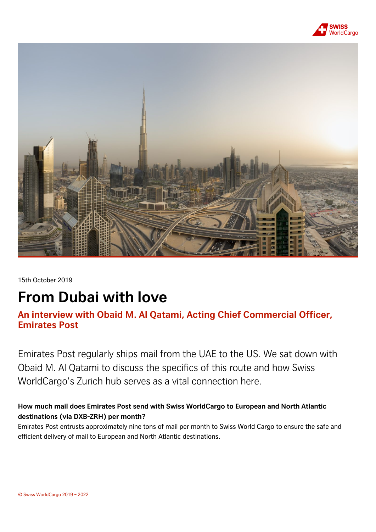



15th October 2019

# **From Dubai with love**

## **An interview with Obaid M. Al Qatami, Acting Chief Commercial Officer, Emirates Post**

Emirates Post regularly ships mail from the UAE to the US. We sat down with Obaid M. Al Qatami to discuss the specifics of this route and how Swiss WorldCargo's Zurich hub serves as a vital connection here.

## **How much mail does Emirates Post send with Swiss WorldCargo to European and North Atlantic destinations (via DXB-ZRH) per month?**

Emirates Post entrusts approximately nine tons of mail per month to Swiss World Cargo to ensure the safe and efficient delivery of mail to European and North Atlantic destinations.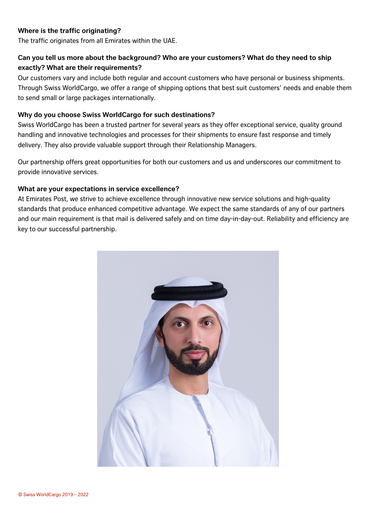#### **Where is the traffic originating?**

The traffic originates from all Emirates within the UAE.

#### **Can you tell us more about the background? Who are your customers? What do they need to ship exactly? What are their requirements?**

Our customers vary and include both regular and account customers who have personal or business shipments. Through Swiss WorldCargo, we offer a range of shipping options that best suit customers' needs and enable them to send small or large packages internationally.

#### **Why do you choose Swiss WorldCargo for such destinations?**

Swiss WorldCargo has been a trusted partner for several years as they offer exceptional service, quality ground handling and innovative technologies and processes for their shipments to ensure fast response and timely delivery. They also provide valuable support through their Relationship Managers.

Our partnership offers great opportunities for both our customers and us and underscores our commitment to provide innovative services.

#### **What are your expectations in service excellence?**

At Emirates Post, we strive to achieve excellence through innovative new service solutions and high-quality standards that produce enhanced competitive advantage. We expect the same standards of any of our partners and our main requirement is that mail is delivered safely and on time day-in-day-out. Reliability and efficiency are key to our successful partnership.

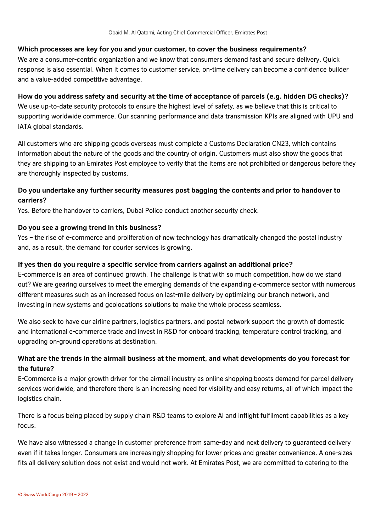#### **Which processes are key for you and your customer, to cover the business requirements?**

We are a consumer-centric organization and we know that consumers demand fast and secure delivery. Quick response is also essential. When it comes to customer service, on-time delivery can become a confidence builder and a value-added competitive advantage.

#### **How do you address safety and security at the time of acceptance of parcels (e.g. hidden DG checks)?**

We use up-to-date security protocols to ensure the highest level of safety, as we believe that this is critical to supporting worldwide commerce. Our scanning performance and data transmission KPIs are aligned with UPU and IATA global standards.

All customers who are shipping goods overseas must complete a Customs Declaration CN23, which contains information about the nature of the goods and the country of origin. Customers must also show the goods that they are shipping to an Emirates Post employee to verify that the items are not prohibited or dangerous before they are thoroughly inspected by customs.

#### **Do you undertake any further security measures post bagging the contents and prior to handover to carriers?**

Yes. Before the handover to carriers, Dubai Police conduct another security check.

#### **Do you see a growing trend in this business?**

Yes – the rise of e-commerce and proliferation of new technology has dramatically changed the postal industry and, as a result, the demand for courier services is growing.

#### **If yes then do you require a specific service from carriers against an additional price?**

E-commerce is an area of continued growth. The challenge is that with so much competition, how do we stand out? We are gearing ourselves to meet the emerging demands of the expanding e-commerce sector with numerous different measures such as an increased focus on last-mile delivery by optimizing our branch network, and investing in new systems and geolocations solutions to make the whole process seamless.

We also seek to have our airline partners, logistics partners, and postal network support the growth of domestic and international e-commerce trade and invest in R&D for onboard tracking, temperature control tracking, and upgrading on-ground operations at destination.

#### **What are the trends in the airmail business at the moment, and what developments do you forecast for the future?**

E-Commerce is a major growth driver for the airmail industry as online shopping boosts demand for parcel delivery services worldwide, and therefore there is an increasing need for visibility and easy returns, all of which impact the logistics chain.

There is a focus being placed by supply chain R&D teams to explore AI and inflight fulfilment capabilities as a key focus.

We have also witnessed a change in customer preference from same-day and next delivery to guaranteed delivery even if it takes longer. Consumers are increasingly shopping for lower prices and greater convenience. A one-sizes fits all delivery solution does not exist and would not work. At Emirates Post, we are committed to catering to the